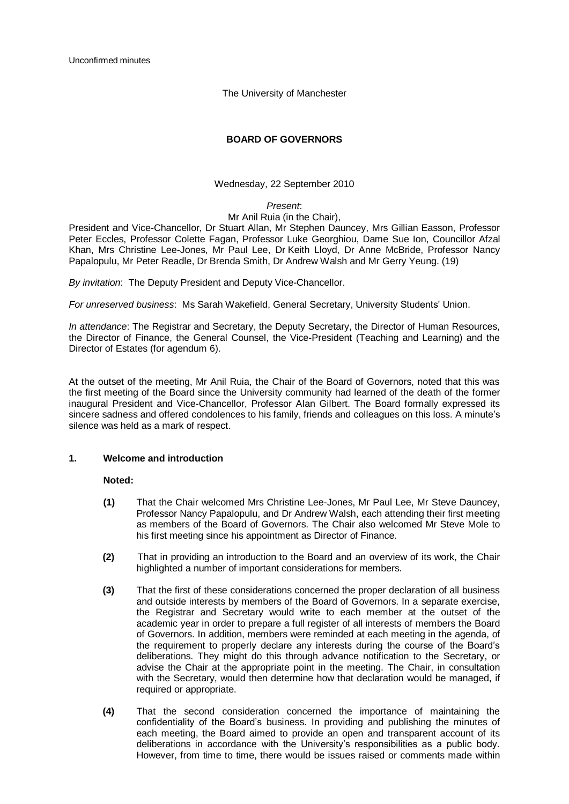Unconfirmed minutes

The University of Manchester

# **BOARD OF GOVERNORS**

Wednesday, 22 September 2010

# *Present*:

## Mr Anil Ruia (in the Chair),

President and Vice-Chancellor, Dr Stuart Allan, Mr Stephen Dauncey, Mrs Gillian Easson, Professor Peter Eccles, Professor Colette Fagan, Professor Luke Georghiou, Dame Sue Ion, Councillor Afzal Khan, Mrs Christine Lee-Jones, Mr Paul Lee, Dr Keith Lloyd, Dr Anne McBride, Professor Nancy Papalopulu, Mr Peter Readle, Dr Brenda Smith, Dr Andrew Walsh and Mr Gerry Yeung. (19)

*By invitation*: The Deputy President and Deputy Vice-Chancellor.

*For unreserved business*: Ms Sarah Wakefield, General Secretary, University Students" Union.

*In attendance*: The Registrar and Secretary, the Deputy Secretary, the Director of Human Resources, the Director of Finance, the General Counsel, the Vice-President (Teaching and Learning) and the Director of Estates (for agendum 6).

At the outset of the meeting, Mr Anil Ruia, the Chair of the Board of Governors, noted that this was the first meeting of the Board since the University community had learned of the death of the former inaugural President and Vice-Chancellor, Professor Alan Gilbert. The Board formally expressed its sincere sadness and offered condolences to his family, friends and colleagues on this loss. A minute's silence was held as a mark of respect.

# **1. Welcome and introduction**

## **Noted:**

- **(1)** That the Chair welcomed Mrs Christine Lee-Jones, Mr Paul Lee, Mr Steve Dauncey, Professor Nancy Papalopulu, and Dr Andrew Walsh, each attending their first meeting as members of the Board of Governors. The Chair also welcomed Mr Steve Mole to his first meeting since his appointment as Director of Finance.
- **(2)** That in providing an introduction to the Board and an overview of its work, the Chair highlighted a number of important considerations for members.
- **(3)** That the first of these considerations concerned the proper declaration of all business and outside interests by members of the Board of Governors. In a separate exercise, the Registrar and Secretary would write to each member at the outset of the academic year in order to prepare a full register of all interests of members the Board of Governors. In addition, members were reminded at each meeting in the agenda, of the requirement to properly declare any interests during the course of the Board"s deliberations. They might do this through advance notification to the Secretary, or advise the Chair at the appropriate point in the meeting. The Chair, in consultation with the Secretary, would then determine how that declaration would be managed, if required or appropriate.
- **(4)** That the second consideration concerned the importance of maintaining the confidentiality of the Board"s business. In providing and publishing the minutes of each meeting, the Board aimed to provide an open and transparent account of its deliberations in accordance with the University"s responsibilities as a public body. However, from time to time, there would be issues raised or comments made within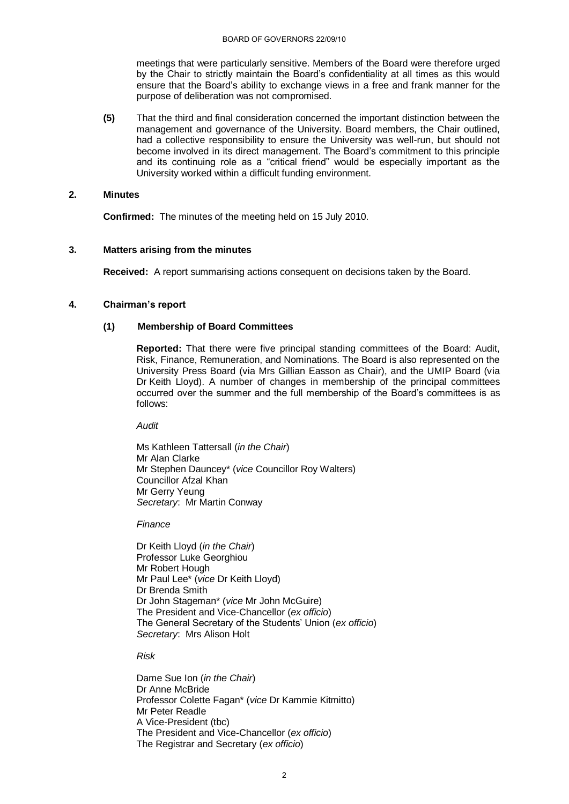meetings that were particularly sensitive. Members of the Board were therefore urged by the Chair to strictly maintain the Board"s confidentiality at all times as this would ensure that the Board"s ability to exchange views in a free and frank manner for the purpose of deliberation was not compromised.

**(5)** That the third and final consideration concerned the important distinction between the management and governance of the University. Board members, the Chair outlined, had a collective responsibility to ensure the University was well-run, but should not become involved in its direct management. The Board"s commitment to this principle and its continuing role as a "critical friend" would be especially important as the University worked within a difficult funding environment.

# **2. Minutes**

**Confirmed:** The minutes of the meeting held on 15 July 2010.

# **3. Matters arising from the minutes**

**Received:** A report summarising actions consequent on decisions taken by the Board.

# **4. Chairman's report**

# **(1) Membership of Board Committees**

**Reported:** That there were five principal standing committees of the Board: Audit, Risk, Finance, Remuneration, and Nominations. The Board is also represented on the University Press Board (via Mrs Gillian Easson as Chair), and the UMIP Board (via Dr Keith Lloyd). A number of changes in membership of the principal committees occurred over the summer and the full membership of the Board"s committees is as follows:

*Audit*

Ms Kathleen Tattersall (*in the Chair*) Mr Alan Clarke Mr Stephen Dauncey\* (*vice* Councillor Roy Walters) Councillor Afzal Khan Mr Gerry Yeung *Secretary*: Mr Martin Conway

*Finance*

Dr Keith Lloyd (*in the Chair*) Professor Luke Georghiou Mr Robert Hough Mr Paul Lee\* (*vice* Dr Keith Lloyd) Dr Brenda Smith Dr John Stageman\* (*vice* Mr John McGuire) The President and Vice-Chancellor (*ex officio*) The General Secretary of the Students" Union (*ex officio*) *Secretary*: Mrs Alison Holt

## *Risk*

Dame Sue Ion (*in the Chair*) Dr Anne McBride Professor Colette Fagan\* (*vice* Dr Kammie Kitmitto) Mr Peter Readle A Vice-President (tbc) The President and Vice-Chancellor (*ex officio*) The Registrar and Secretary (*ex officio*)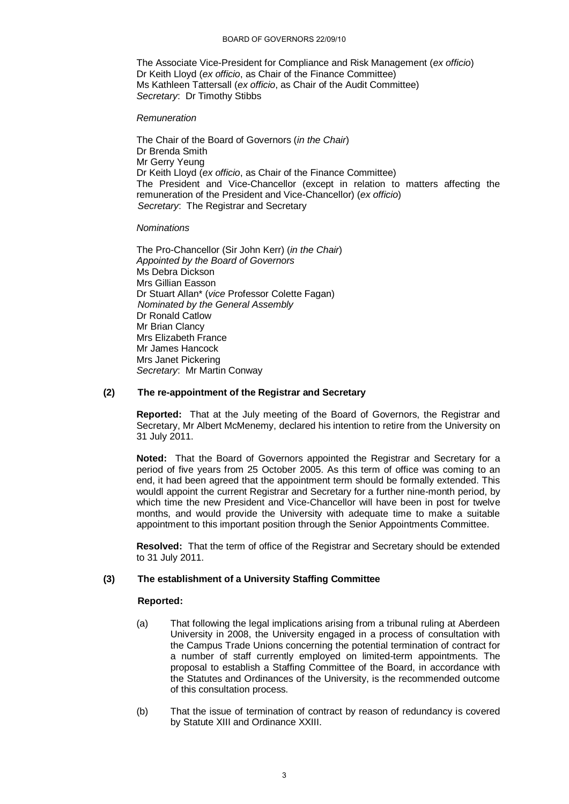The Associate Vice-President for Compliance and Risk Management (*ex officio*) Dr Keith Lloyd (*ex officio*, as Chair of the Finance Committee) Ms Kathleen Tattersall (*ex officio*, as Chair of the Audit Committee) *Secretary*: Dr Timothy Stibbs

## *Remuneration*

The Chair of the Board of Governors (*in the Chair*) Dr Brenda Smith Mr Gerry Yeung Dr Keith Lloyd (*ex officio*, as Chair of the Finance Committee) The President and Vice-Chancellor (except in relation to matters affecting the remuneration of the President and Vice-Chancellor) (*ex officio*) *Secretary*: The Registrar and Secretary

# *Nominations*

The Pro-Chancellor (Sir John Kerr) (*in the Chair*) *Appointed by the Board of Governors* Ms Debra Dickson Mrs Gillian Easson Dr Stuart Allan\* (*vice* Professor Colette Fagan) *Nominated by the General Assembly* Dr Ronald Catlow Mr Brian Clancy Mrs Elizabeth France Mr James Hancock Mrs Janet Pickering *Secretary*: Mr Martin Conway

# **(2) The re-appointment of the Registrar and Secretary**

**Reported:** That at the July meeting of the Board of Governors, the Registrar and Secretary, Mr Albert McMenemy, declared his intention to retire from the University on 31 July 2011.

**Noted:** That the Board of Governors appointed the Registrar and Secretary for a period of five years from 25 October 2005. As this term of office was coming to an end, it had been agreed that the appointment term should be formally extended. This wouldl appoint the current Registrar and Secretary for a further nine-month period, by which time the new President and Vice-Chancellor will have been in post for twelve months, and would provide the University with adequate time to make a suitable appointment to this important position through the Senior Appointments Committee.

**Resolved:** That the term of office of the Registrar and Secretary should be extended to 31 July 2011.

# **(3) The establishment of a University Staffing Committee**

## **Reported:**

- (a) That following the legal implications arising from a tribunal ruling at Aberdeen University in 2008, the University engaged in a process of consultation with the Campus Trade Unions concerning the potential termination of contract for a number of staff currently employed on limited-term appointments. The proposal to establish a Staffing Committee of the Board, in accordance with the Statutes and Ordinances of the University, is the recommended outcome of this consultation process.
- (b) That the issue of termination of contract by reason of redundancy is covered by Statute XIII and Ordinance XXIII.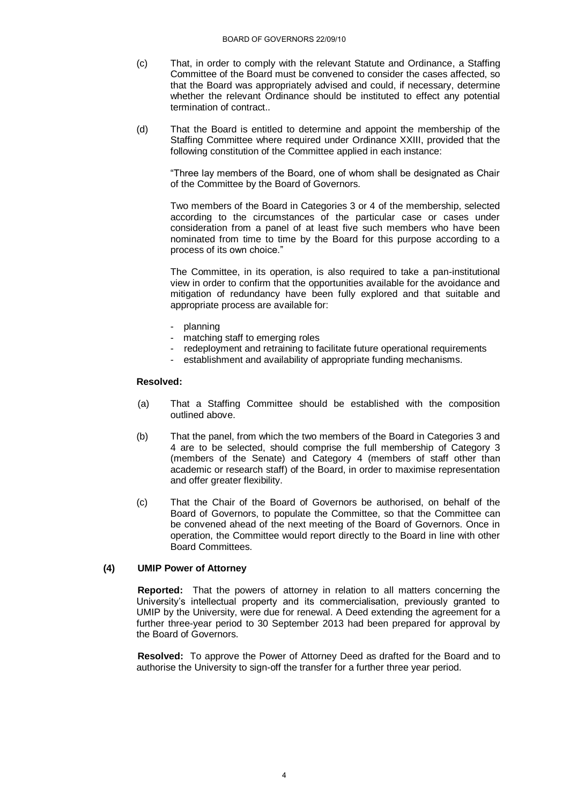- (c) That, in order to comply with the relevant Statute and Ordinance, a Staffing Committee of the Board must be convened to consider the cases affected, so that the Board was appropriately advised and could, if necessary, determine whether the relevant Ordinance should be instituted to effect any potential termination of contract..
- (d) That the Board is entitled to determine and appoint the membership of the Staffing Committee where required under Ordinance XXIII, provided that the following constitution of the Committee applied in each instance:

"Three lay members of the Board, one of whom shall be designated as Chair of the Committee by the Board of Governors.

Two members of the Board in Categories 3 or 4 of the membership, selected according to the circumstances of the particular case or cases under consideration from a panel of at least five such members who have been nominated from time to time by the Board for this purpose according to a process of its own choice."

The Committee, in its operation, is also required to take a pan-institutional view in order to confirm that the opportunities available for the avoidance and mitigation of redundancy have been fully explored and that suitable and appropriate process are available for:

- planning
- matching staff to emerging roles
- redeployment and retraining to facilitate future operational requirements
- establishment and availability of appropriate funding mechanisms.

## **Resolved:**

- (a) That a Staffing Committee should be established with the composition outlined above.
- (b) That the panel, from which the two members of the Board in Categories 3 and 4 are to be selected, should comprise the full membership of Category 3 (members of the Senate) and Category 4 (members of staff other than academic or research staff) of the Board, in order to maximise representation and offer greater flexibility.
- (c) That the Chair of the Board of Governors be authorised, on behalf of the Board of Governors, to populate the Committee, so that the Committee can be convened ahead of the next meeting of the Board of Governors. Once in operation, the Committee would report directly to the Board in line with other Board Committees.

# **(4) UMIP Power of Attorney**

**Reported:** That the powers of attorney in relation to all matters concerning the University"s intellectual property and its commercialisation, previously granted to UMIP by the University, were due for renewal. A Deed extending the agreement for a further three-year period to 30 September 2013 had been prepared for approval by the Board of Governors.

**Resolved:** To approve the Power of Attorney Deed as drafted for the Board and to authorise the University to sign-off the transfer for a further three year period.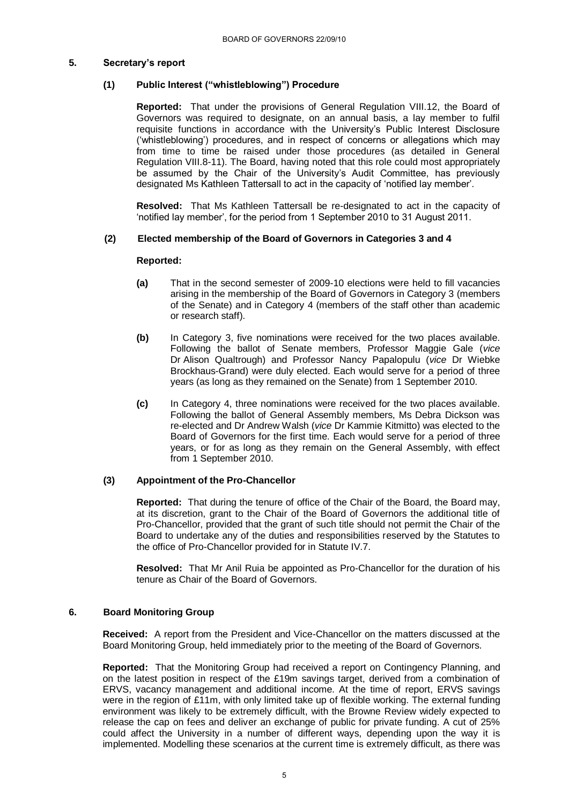# **5. Secretary's report**

# **(1) Public Interest ("whistleblowing") Procedure**

**Reported:** That under the provisions of General Regulation VIII.12, the Board of Governors was required to designate, on an annual basis, a lay member to fulfil requisite functions in accordance with the University"s Public Interest Disclosure ("whistleblowing") procedures, and in respect of concerns or allegations which may from time to time be raised under those procedures (as detailed in General Regulation VIII.8-11). The Board, having noted that this role could most appropriately be assumed by the Chair of the University's Audit Committee, has previously designated Ms Kathleen Tattersall to act in the capacity of "notified lay member".

**Resolved:** That Ms Kathleen Tattersall be re-designated to act in the capacity of "notified lay member", for the period from 1 September 2010 to 31 August 2011.

# **(2) Elected membership of the Board of Governors in Categories 3 and 4**

## **Reported:**

- **(a)** That in the second semester of 2009-10 elections were held to fill vacancies arising in the membership of the Board of Governors in Category 3 (members of the Senate) and in Category 4 (members of the staff other than academic or research staff).
- **(b)** In Category 3, five nominations were received for the two places available. Following the ballot of Senate members, Professor Maggie Gale (*vice* Dr Alison Qualtrough) and Professor Nancy Papalopulu (*vice* Dr Wiebke Brockhaus-Grand) were duly elected. Each would serve for a period of three years (as long as they remained on the Senate) from 1 September 2010.
- **(c)** In Category 4, three nominations were received for the two places available. Following the ballot of General Assembly members, Ms Debra Dickson was re-elected and Dr Andrew Walsh (*vice* Dr Kammie Kitmitto) was elected to the Board of Governors for the first time. Each would serve for a period of three years, or for as long as they remain on the General Assembly, with effect from 1 September 2010.

# **(3) Appointment of the Pro-Chancellor**

**Reported:** That during the tenure of office of the Chair of the Board, the Board may, at its discretion, grant to the Chair of the Board of Governors the additional title of Pro-Chancellor, provided that the grant of such title should not permit the Chair of the Board to undertake any of the duties and responsibilities reserved by the Statutes to the office of Pro-Chancellor provided for in Statute IV.7.

**Resolved:** That Mr Anil Ruia be appointed as Pro-Chancellor for the duration of his tenure as Chair of the Board of Governors.

## **6. Board Monitoring Group**

**Received:** A report from the President and Vice-Chancellor on the matters discussed at the Board Monitoring Group, held immediately prior to the meeting of the Board of Governors.

**Reported:** That the Monitoring Group had received a report on Contingency Planning, and on the latest position in respect of the £19m savings target, derived from a combination of ERVS, vacancy management and additional income. At the time of report, ERVS savings were in the region of £11m, with only limited take up of flexible working. The external funding environment was likely to be extremely difficult, with the Browne Review widely expected to release the cap on fees and deliver an exchange of public for private funding. A cut of 25% could affect the University in a number of different ways, depending upon the way it is implemented. Modelling these scenarios at the current time is extremely difficult, as there was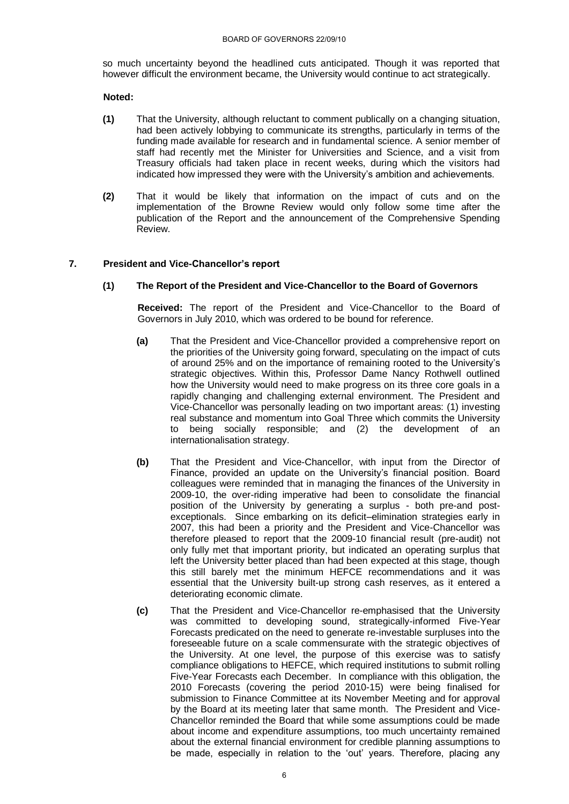so much uncertainty beyond the headlined cuts anticipated. Though it was reported that however difficult the environment became, the University would continue to act strategically.

# **Noted:**

- **(1)** That the University, although reluctant to comment publically on a changing situation, had been actively lobbying to communicate its strengths, particularly in terms of the funding made available for research and in fundamental science. A senior member of staff had recently met the Minister for Universities and Science, and a visit from Treasury officials had taken place in recent weeks, during which the visitors had indicated how impressed they were with the University"s ambition and achievements.
- **(2)** That it would be likely that information on the impact of cuts and on the implementation of the Browne Review would only follow some time after the publication of the Report and the announcement of the Comprehensive Spending Review.

# **7. President and Vice-Chancellor's report**

# **(1) The Report of the President and Vice-Chancellor to the Board of Governors**

**Received:** The report of the President and Vice-Chancellor to the Board of Governors in July 2010, which was ordered to be bound for reference.

- **(a)** That the President and Vice-Chancellor provided a comprehensive report on the priorities of the University going forward, speculating on the impact of cuts of around 25% and on the importance of remaining rooted to the University"s strategic objectives. Within this, Professor Dame Nancy Rothwell outlined how the University would need to make progress on its three core goals in a rapidly changing and challenging external environment. The President and Vice-Chancellor was personally leading on two important areas: (1) investing real substance and momentum into Goal Three which commits the University to being socially responsible; and (2) the development of an internationalisation strategy.
- **(b)** That the President and Vice-Chancellor, with input from the Director of Finance, provided an update on the University's financial position. Board colleagues were reminded that in managing the finances of the University in 2009-10, the over-riding imperative had been to consolidate the financial position of the University by generating a surplus - both pre-and postexceptionals. Since embarking on its deficit–elimination strategies early in 2007, this had been a priority and the President and Vice-Chancellor was therefore pleased to report that the 2009-10 financial result (pre-audit) not only fully met that important priority, but indicated an operating surplus that left the University better placed than had been expected at this stage, though this still barely met the minimum HEFCE recommendations and it was essential that the University built-up strong cash reserves, as it entered a deteriorating economic climate.
- **(c)** That the President and Vice-Chancellor re-emphasised that the University was committed to developing sound, strategically-informed Five-Year Forecasts predicated on the need to generate re-investable surpluses into the foreseeable future on a scale commensurate with the strategic objectives of the University. At one level, the purpose of this exercise was to satisfy compliance obligations to HEFCE, which required institutions to submit rolling Five-Year Forecasts each December. In compliance with this obligation, the 2010 Forecasts (covering the period 2010-15) were being finalised for submission to Finance Committee at its November Meeting and for approval by the Board at its meeting later that same month. The President and Vice-Chancellor reminded the Board that while some assumptions could be made about income and expenditure assumptions, too much uncertainty remained about the external financial environment for credible planning assumptions to be made, especially in relation to the "out" years. Therefore, placing any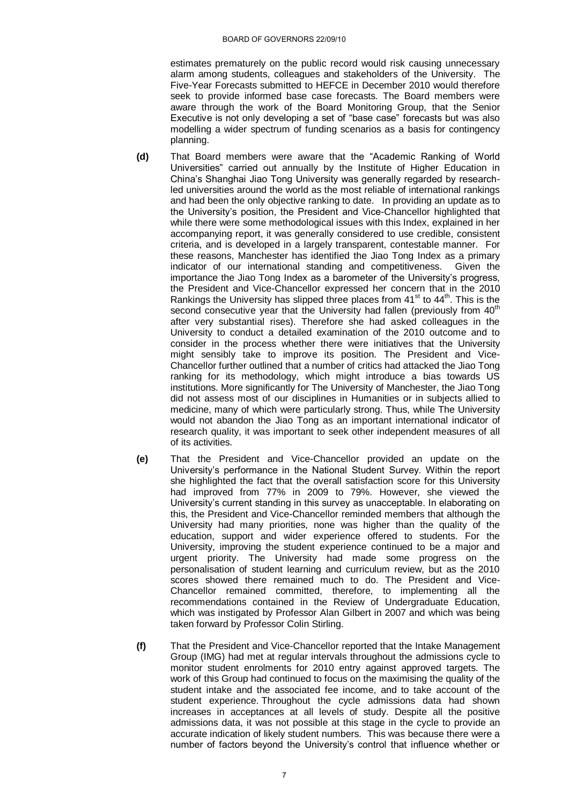estimates prematurely on the public record would risk causing unnecessary alarm among students, colleagues and stakeholders of the University. The Five-Year Forecasts submitted to HEFCE in December 2010 would therefore seek to provide informed base case forecasts. The Board members were aware through the work of the Board Monitoring Group, that the Senior Executive is not only developing a set of "base case" forecasts but was also modelling a wider spectrum of funding scenarios as a basis for contingency planning.

- **(d)** That Board members were aware that the "Academic Ranking of World Universities" carried out annually by the Institute of Higher Education in China"s Shanghai Jiao Tong University was generally regarded by researchled universities around the world as the most reliable of international rankings and had been the only objective ranking to date. In providing an update as to the University"s position, the President and Vice-Chancellor highlighted that while there were some methodological issues with this Index, explained in her accompanying report, it was generally considered to use credible, consistent criteria, and is developed in a largely transparent, contestable manner. For these reasons, Manchester has identified the Jiao Tong Index as a primary indicator of our international standing and competitiveness. Given the importance the Jiao Tong Index as a barometer of the University's progress. the President and Vice-Chancellor expressed her concern that in the 2010 Rankings the University has slipped three places from  $41<sup>st</sup>$  to  $44<sup>th</sup>$ . This is the second consecutive year that the University had fallen (previously from  $40<sup>th</sup>$ after very substantial rises). Therefore she had asked colleagues in the University to conduct a detailed examination of the 2010 outcome and to consider in the process whether there were initiatives that the University might sensibly take to improve its position. The President and Vice-Chancellor further outlined that a number of critics had attacked the Jiao Tong ranking for its methodology, which might introduce a bias towards US institutions. More significantly for The University of Manchester, the Jiao Tong did not assess most of our disciplines in Humanities or in subjects allied to medicine, many of which were particularly strong. Thus, while The University would not abandon the Jiao Tong as an important international indicator of research quality, it was important to seek other independent measures of all of its activities.
- **(e)** That the President and Vice-Chancellor provided an update on the University"s performance in the National Student Survey. Within the report she highlighted the fact that the overall satisfaction score for this University had improved from 77% in 2009 to 79%. However, she viewed the University"s current standing in this survey as unacceptable. In elaborating on this, the President and Vice-Chancellor reminded members that although the University had many priorities, none was higher than the quality of the education, support and wider experience offered to students. For the University, improving the student experience continued to be a major and urgent priority. The University had made some progress on the personalisation of student learning and curriculum review, but as the 2010 scores showed there remained much to do. The President and Vice-Chancellor remained committed, therefore, to implementing all the recommendations contained in the Review of Undergraduate Education, which was instigated by Professor Alan Gilbert in 2007 and which was being taken forward by Professor Colin Stirling.
- **(f)** That the President and Vice-Chancellor reported that the Intake Management Group (IMG) had met at regular intervals throughout the admissions cycle to monitor student enrolments for 2010 entry against approved targets. The work of this Group had continued to focus on the maximising the quality of the student intake and the associated fee income, and to take account of the student experience. Throughout the cycle admissions data had shown increases in acceptances at all levels of study. Despite all the positive admissions data, it was not possible at this stage in the cycle to provide an accurate indication of likely student numbers. This was because there were a number of factors beyond the University"s control that influence whether or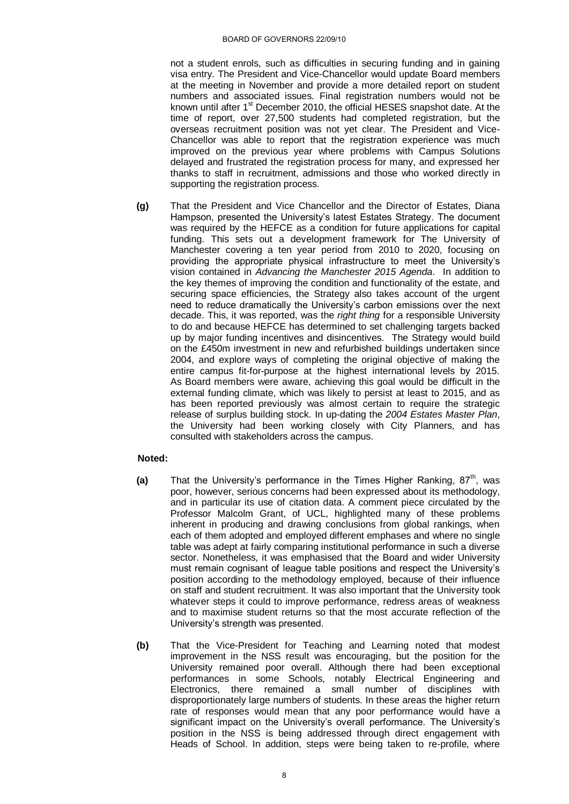not a student enrols, such as difficulties in securing funding and in gaining visa entry. The President and Vice-Chancellor would update Board members at the meeting in November and provide a more detailed report on student numbers and associated issues. Final registration numbers would not be known until after 1<sup>st</sup> December 2010, the official HESES snapshot date. At the time of report, over 27,500 students had completed registration, but the overseas recruitment position was not yet clear. The President and Vice-Chancellor was able to report that the registration experience was much improved on the previous year where problems with Campus Solutions delayed and frustrated the registration process for many, and expressed her thanks to staff in recruitment, admissions and those who worked directly in supporting the registration process.

**(g)** That the President and Vice Chancellor and the Director of Estates, Diana Hampson, presented the University"s latest Estates Strategy. The document was required by the HEFCE as a condition for future applications for capital funding. This sets out a development framework for The University of Manchester covering a ten year period from 2010 to 2020, focusing on providing the appropriate physical infrastructure to meet the University"s vision contained in *Advancing the Manchester 2015 Agenda*. In addition to the key themes of improving the condition and functionality of the estate, and securing space efficiencies, the Strategy also takes account of the urgent need to reduce dramatically the University's carbon emissions over the next decade. This, it was reported, was the *right thing* for a responsible University to do and because HEFCE has determined to set challenging targets backed up by major funding incentives and disincentives. The Strategy would build on the £450m investment in new and refurbished buildings undertaken since 2004, and explore ways of completing the original objective of making the entire campus fit-for-purpose at the highest international levels by 2015. As Board members were aware, achieving this goal would be difficult in the external funding climate, which was likely to persist at least to 2015, and as has been reported previously was almost certain to require the strategic release of surplus building stock. In up-dating the *2004 Estates Master Plan*, the University had been working closely with City Planners, and has consulted with stakeholders across the campus.

# **Noted:**

- **(a)** That the University's performance in the Times Higher Ranking, 87<sup>th</sup>, was poor, however, serious concerns had been expressed about its methodology, and in particular its use of citation data. A comment piece circulated by the Professor Malcolm Grant, of UCL, highlighted many of these problems inherent in producing and drawing conclusions from global rankings, when each of them adopted and employed different emphases and where no single table was adept at fairly comparing institutional performance in such a diverse sector. Nonetheless, it was emphasised that the Board and wider University must remain cognisant of league table positions and respect the University"s position according to the methodology employed, because of their influence on staff and student recruitment. It was also important that the University took whatever steps it could to improve performance, redress areas of weakness and to maximise student returns so that the most accurate reflection of the University"s strength was presented.
- **(b)** That the Vice-President for Teaching and Learning noted that modest improvement in the NSS result was encouraging, but the position for the University remained poor overall. Although there had been exceptional performances in some Schools, notably Electrical Engineering and Electronics, there remained a small number of disciplines with disproportionately large numbers of students. In these areas the higher return rate of responses would mean that any poor performance would have a significant impact on the University's overall performance. The University's position in the NSS is being addressed through direct engagement with Heads of School. In addition, steps were being taken to re-profile, where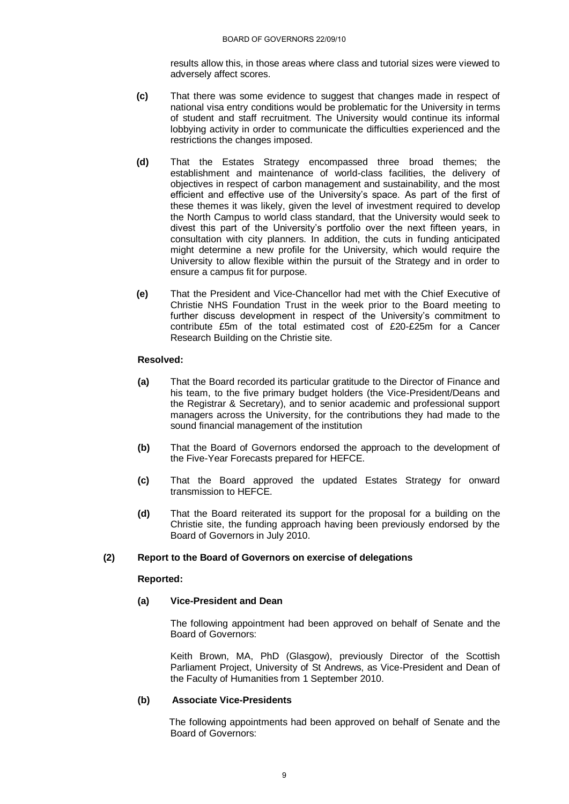results allow this, in those areas where class and tutorial sizes were viewed to adversely affect scores.

- **(c)** That there was some evidence to suggest that changes made in respect of national visa entry conditions would be problematic for the University in terms of student and staff recruitment. The University would continue its informal lobbying activity in order to communicate the difficulties experienced and the restrictions the changes imposed.
- **(d)** That the Estates Strategy encompassed three broad themes; the establishment and maintenance of world-class facilities, the delivery of objectives in respect of carbon management and sustainability, and the most efficient and effective use of the University's space. As part of the first of these themes it was likely, given the level of investment required to develop the North Campus to world class standard, that the University would seek to divest this part of the University"s portfolio over the next fifteen years, in consultation with city planners. In addition, the cuts in funding anticipated might determine a new profile for the University, which would require the University to allow flexible within the pursuit of the Strategy and in order to ensure a campus fit for purpose.
- **(e)** That the President and Vice-Chancellor had met with the Chief Executive of Christie NHS Foundation Trust in the week prior to the Board meeting to further discuss development in respect of the University's commitment to contribute £5m of the total estimated cost of £20-£25m for a Cancer Research Building on the Christie site.

# **Resolved:**

- **(a)** That the Board recorded its particular gratitude to the Director of Finance and his team, to the five primary budget holders (the Vice-President/Deans and the Registrar & Secretary), and to senior academic and professional support managers across the University, for the contributions they had made to the sound financial management of the institution
- **(b)** That the Board of Governors endorsed the approach to the development of the Five-Year Forecasts prepared for HEFCE.
- **(c)** That the Board approved the updated Estates Strategy for onward transmission to HEFCE.
- **(d)** That the Board reiterated its support for the proposal for a building on the Christie site, the funding approach having been previously endorsed by the Board of Governors in July 2010.

## **(2) Report to the Board of Governors on exercise of delegations**

## **Reported:**

# **(a) Vice-President and Dean**

The following appointment had been approved on behalf of Senate and the Board of Governors:

Keith Brown, MA, PhD (Glasgow), previously Director of the Scottish Parliament Project, University of St Andrews, as Vice-President and Dean of the Faculty of Humanities from 1 September 2010.

## **(b) Associate Vice-Presidents**

The following appointments had been approved on behalf of Senate and the Board of Governors: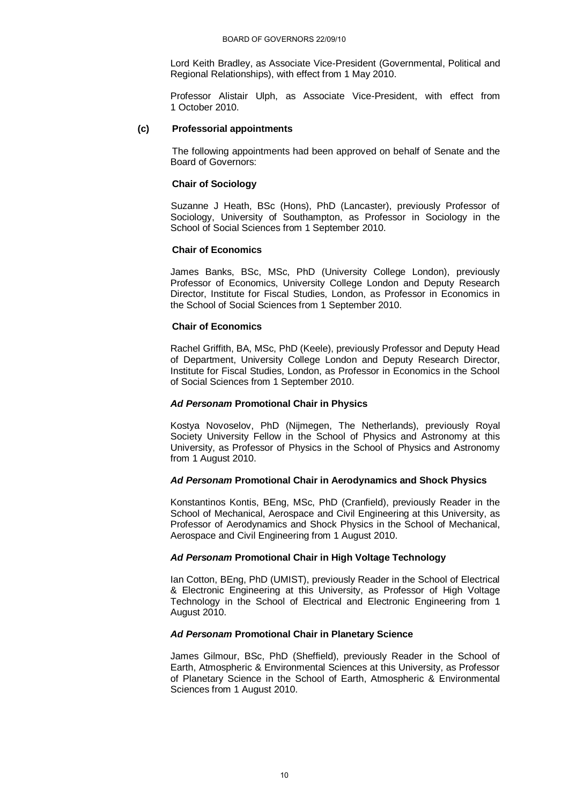Lord Keith Bradley, as Associate Vice-President (Governmental, Political and Regional Relationships), with effect from 1 May 2010.

Professor Alistair Ulph, as Associate Vice-President, with effect from 1 October 2010.

### **(c) Professorial appointments**

The following appointments had been approved on behalf of Senate and the Board of Governors:

#### **Chair of Sociology**

Suzanne J Heath, BSc (Hons), PhD (Lancaster), previously Professor of Sociology, University of Southampton, as Professor in Sociology in the School of Social Sciences from 1 September 2010.

#### **Chair of Economics**

James Banks, BSc, MSc, PhD (University College London), previously Professor of Economics, University College London and Deputy Research Director, Institute for Fiscal Studies, London, as Professor in Economics in the School of Social Sciences from 1 September 2010.

#### **Chair of Economics**

Rachel Griffith, BA, MSc, PhD (Keele), previously Professor and Deputy Head of Department, University College London and Deputy Research Director, Institute for Fiscal Studies, London, as Professor in Economics in the School of Social Sciences from 1 September 2010.

### *Ad Personam* **Promotional Chair in Physics**

Kostya Novoselov, PhD (Nijmegen, The Netherlands), previously Royal Society University Fellow in the School of Physics and Astronomy at this University, as Professor of Physics in the School of Physics and Astronomy from 1 August 2010.

## *Ad Personam* **Promotional Chair in Aerodynamics and Shock Physics**

Konstantinos Kontis, BEng, MSc, PhD (Cranfield), previously Reader in the School of Mechanical, Aerospace and Civil Engineering at this University, as Professor of Aerodynamics and Shock Physics in the School of Mechanical, Aerospace and Civil Engineering from 1 August 2010.

## *Ad Personam* **Promotional Chair in High Voltage Technology**

Ian Cotton, BEng, PhD (UMIST), previously Reader in the School of Electrical & Electronic Engineering at this University, as Professor of High Voltage Technology in the School of Electrical and Electronic Engineering from 1 August 2010.

## *Ad Personam* **Promotional Chair in Planetary Science**

James Gilmour, BSc, PhD (Sheffield), previously Reader in the School of Earth, Atmospheric & Environmental Sciences at this University, as Professor of Planetary Science in the School of Earth, Atmospheric & Environmental Sciences from 1 August 2010.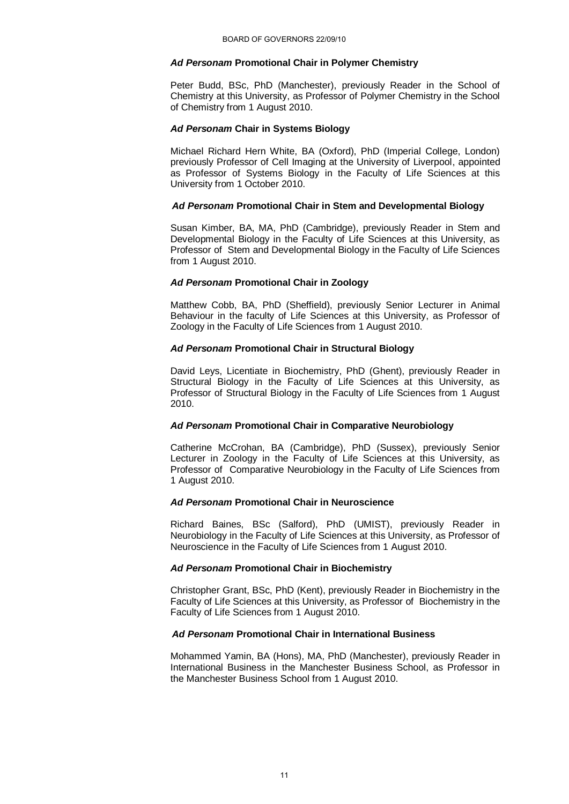#### *Ad Personam* **Promotional Chair in Polymer Chemistry**

Peter Budd, BSc, PhD (Manchester), previously Reader in the School of Chemistry at this University, as Professor of Polymer Chemistry in the School of Chemistry from 1 August 2010.

#### *Ad Personam* **Chair in Systems Biology**

Michael Richard Hern White, BA (Oxford), PhD (Imperial College, London) previously Professor of Cell Imaging at the University of Liverpool, appointed as Professor of Systems Biology in the Faculty of Life Sciences at this University from 1 October 2010.

#### *Ad Personam* **Promotional Chair in Stem and Developmental Biology**

Susan Kimber, BA, MA, PhD (Cambridge), previously Reader in Stem and Developmental Biology in the Faculty of Life Sciences at this University, as Professor of Stem and Developmental Biology in the Faculty of Life Sciences from 1 August 2010.

#### *Ad Personam* **Promotional Chair in Zoology**

Matthew Cobb, BA, PhD (Sheffield), previously Senior Lecturer in Animal Behaviour in the faculty of Life Sciences at this University, as Professor of Zoology in the Faculty of Life Sciences from 1 August 2010.

# *Ad Personam* **Promotional Chair in Structural Biology**

David Leys, Licentiate in Biochemistry, PhD (Ghent), previously Reader in Structural Biology in the Faculty of Life Sciences at this University, as Professor of Structural Biology in the Faculty of Life Sciences from 1 August 2010.

## *Ad Personam* **Promotional Chair in Comparative Neurobiology**

Catherine McCrohan, BA (Cambridge), PhD (Sussex), previously Senior Lecturer in Zoology in the Faculty of Life Sciences at this University, as Professor of Comparative Neurobiology in the Faculty of Life Sciences from 1 August 2010.

## *Ad Personam* **Promotional Chair in Neuroscience**

Richard Baines, BSc (Salford), PhD (UMIST), previously Reader in Neurobiology in the Faculty of Life Sciences at this University, as Professor of Neuroscience in the Faculty of Life Sciences from 1 August 2010.

## *Ad Personam* **Promotional Chair in Biochemistry**

Christopher Grant, BSc, PhD (Kent), previously Reader in Biochemistry in the Faculty of Life Sciences at this University, as Professor of Biochemistry in the Faculty of Life Sciences from 1 August 2010.

# *Ad Personam* **Promotional Chair in International Business**

Mohammed Yamin, BA (Hons), MA, PhD (Manchester), previously Reader in International Business in the Manchester Business School, as Professor in the Manchester Business School from 1 August 2010.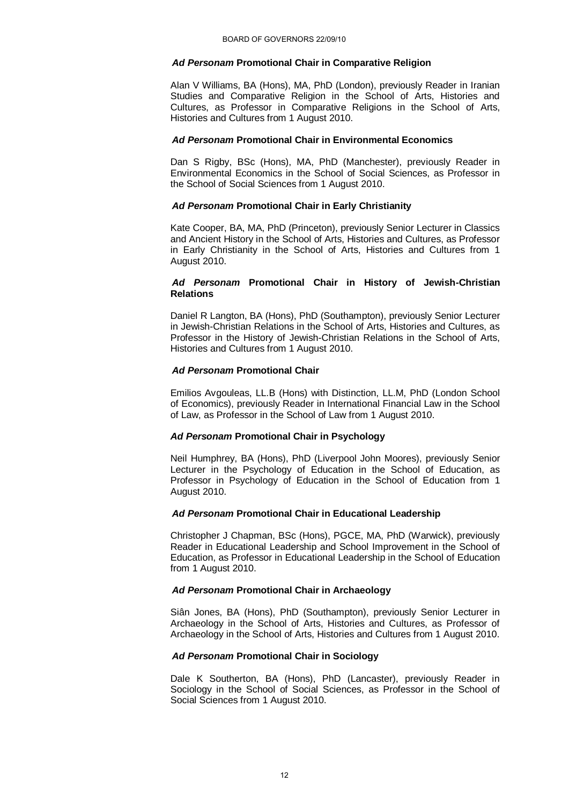## *Ad Personam* **Promotional Chair in Comparative Religion**

Alan V Williams, BA (Hons), MA, PhD (London), previously Reader in Iranian Studies and Comparative Religion in the School of Arts, Histories and Cultures, as Professor in Comparative Religions in the School of Arts, Histories and Cultures from 1 August 2010.

#### *Ad Personam* **Promotional Chair in Environmental Economics**

Dan S Rigby, BSc (Hons), MA, PhD (Manchester), previously Reader in Environmental Economics in the School of Social Sciences, as Professor in the School of Social Sciences from 1 August 2010.

## *Ad Personam* **Promotional Chair in Early Christianity**

Kate Cooper, BA, MA, PhD (Princeton), previously Senior Lecturer in Classics and Ancient History in the School of Arts, Histories and Cultures, as Professor in Early Christianity in the School of Arts, Histories and Cultures from 1 August 2010.

### *Ad Personam* **Promotional Chair in History of Jewish-Christian Relations**

Daniel R Langton, BA (Hons), PhD (Southampton), previously Senior Lecturer in Jewish-Christian Relations in the School of Arts, Histories and Cultures, as Professor in the History of Jewish-Christian Relations in the School of Arts, Histories and Cultures from 1 August 2010.

## *Ad Personam* **Promotional Chair**

Emilios Avgouleas, LL.B (Hons) with Distinction, LL.M, PhD (London School of Economics), previously Reader in International Financial Law in the School of Law, as Professor in the School of Law from 1 August 2010.

## *Ad Personam* **Promotional Chair in Psychology**

Neil Humphrey, BA (Hons), PhD (Liverpool John Moores), previously Senior Lecturer in the Psychology of Education in the School of Education, as Professor in Psychology of Education in the School of Education from 1 August 2010.

## *Ad Personam* **Promotional Chair in Educational Leadership**

Christopher J Chapman, BSc (Hons), PGCE, MA, PhD (Warwick), previously Reader in Educational Leadership and School Improvement in the School of Education, as Professor in Educational Leadership in the School of Education from 1 August 2010.

# *Ad Personam* **Promotional Chair in Archaeology**

Siân Jones, BA (Hons), PhD (Southampton), previously Senior Lecturer in Archaeology in the School of Arts, Histories and Cultures, as Professor of Archaeology in the School of Arts, Histories and Cultures from 1 August 2010.

## *Ad Personam* **Promotional Chair in Sociology**

Dale K Southerton, BA (Hons), PhD (Lancaster), previously Reader in Sociology in the School of Social Sciences, as Professor in the School of Social Sciences from 1 August 2010.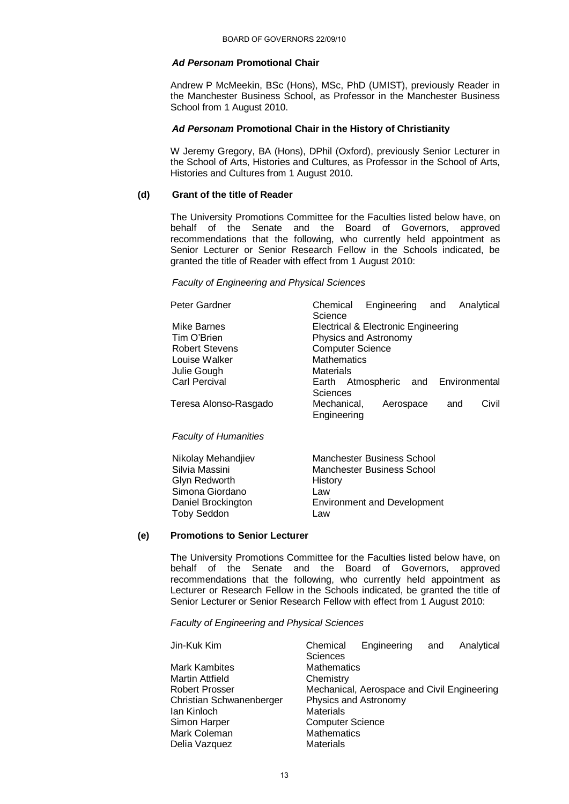#### *Ad Personam* **Promotional Chair**

Andrew P McMeekin, BSc (Hons), MSc, PhD (UMIST), previously Reader in the Manchester Business School, as Professor in the Manchester Business School from 1 August 2010.

#### *Ad Personam* **Promotional Chair in the History of Christianity**

W Jeremy Gregory, BA (Hons), DPhil (Oxford), previously Senior Lecturer in the School of Arts, Histories and Cultures, as Professor in the School of Arts, Histories and Cultures from 1 August 2010.

# **(d) Grant of the title of Reader**

The University Promotions Committee for the Faculties listed below have, on behalf of the Senate and the Board of Governors, approved recommendations that the following, who currently held appointment as Senior Lecturer or Senior Research Fellow in the Schools indicated, be granted the title of Reader with effect from 1 August 2010:

#### *Faculty of Engineering and Physical Sciences*

| Peter Gardner                | Engineering and<br>Chemical<br>Analytical |  |  |
|------------------------------|-------------------------------------------|--|--|
|                              | Science                                   |  |  |
| Mike Barnes                  | Electrical & Electronic Engineering       |  |  |
| Tim O'Brien                  | Physics and Astronomy                     |  |  |
| <b>Robert Stevens</b>        | <b>Computer Science</b>                   |  |  |
| Louise Walker                | Mathematics                               |  |  |
| Julie Gough                  | Materials                                 |  |  |
| <b>Carl Percival</b>         | Earth Atmospheric and Environmental       |  |  |
|                              | Sciences                                  |  |  |
| Teresa Alonso-Rasgado        | Civil<br>Mechanical,<br>Aerospace<br>and  |  |  |
|                              | Engineering                               |  |  |
| <b>Faculty of Humanities</b> |                                           |  |  |
| Nikolay Mehandjiev           | Manchester Business School                |  |  |
| Silvia Massini               | <b>Manchester Business School</b>         |  |  |
| Glyn Redworth                | History                                   |  |  |
| Simona Giordano              | Law                                       |  |  |
| Daniel Brockington           | <b>Environment and Development</b>        |  |  |
|                              |                                           |  |  |

## **(e) Promotions to Senior Lecturer**

Toby Seddon Law

The University Promotions Committee for the Faculties listed below have, on behalf of the Senate and the Board of Governors, approved recommendations that the following, who currently held appointment as Lecturer or Research Fellow in the Schools indicated, be granted the title of Senior Lecturer or Senior Research Fellow with effect from 1 August 2010:

*Faculty of Engineering and Physical Sciences*

| Jin-Kuk Kim              | Chemical                                    | Engineering | and | Analytical |
|--------------------------|---------------------------------------------|-------------|-----|------------|
|                          | <b>Sciences</b>                             |             |     |            |
| <b>Mark Kambites</b>     | <b>Mathematics</b>                          |             |     |            |
| Martin Attfield          | Chemistry                                   |             |     |            |
| <b>Robert Prosser</b>    | Mechanical, Aerospace and Civil Engineering |             |     |            |
| Christian Schwanenberger | Physics and Astronomy                       |             |     |            |
| lan Kinloch              | <b>Materials</b>                            |             |     |            |
| Simon Harper             | <b>Computer Science</b>                     |             |     |            |
| Mark Coleman             | <b>Mathematics</b>                          |             |     |            |
| Delia Vazquez            | <b>Materials</b>                            |             |     |            |
|                          |                                             |             |     |            |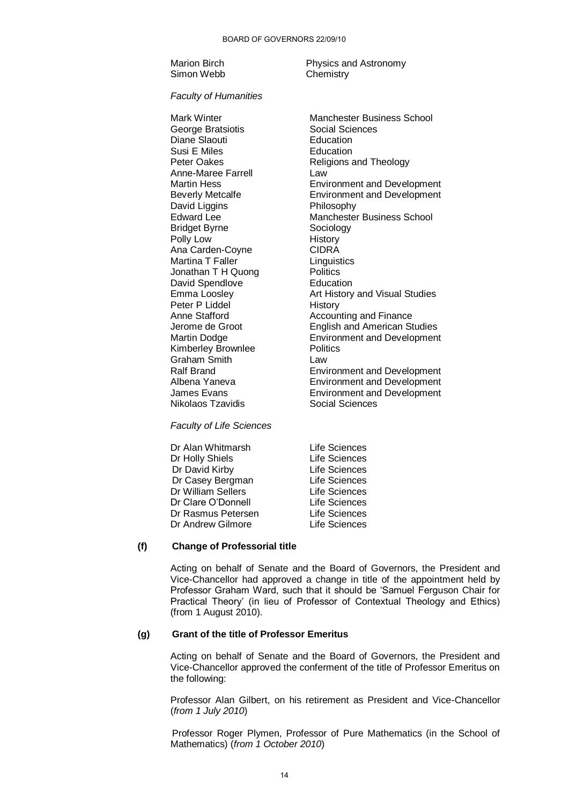Simon Webb Chemistry

Marion Birch **Physics and Astronomy** 

#### *Faculty of Humanities*

Mark Winter **Manchester Business School** George Bratsiotis **Social Sciences** Diane Slaouti **Education**<br>
Susi E Miles<br>
Education Susi E Miles<br>Peter Oakes Anne-Maree Farrell Law David Liggins **Philosophy** Bridget Byrne Sociology Polly Low History Ana Carden-Coyne CIDRA Martina T Faller **Linguistics** Jonathan T H Quong Politics David Spendlove **Education** Peter P Liddel History Kimberley Brownlee **Politics** Graham Smith Law Nikolaos Tzavidis **Social Sciences** 

Religions and Theology Martin Hess Environment and Development Beverly Metcalfe Environment and Development Edward Lee Manchester Business School Emma Loosley **Art History and Visual Studies** Anne Stafford **Accounting and Finance** Jerome de Groot English and American Studies Martin Dodge Environment and Development Ralf Brand **Environment and Development**<br>Albena Yaneva<br>Environment and Development Albena Yaneva<br>
James Evans **Environment and Development**<br>
Environment and Development Environment and Development

*Faculty of Life Sciences*

Dr Alan Whitmarsh Life Sciences Dr Holly Shiels **Life Sciences** Dr David Kirby Life Sciences Dr Casey Bergman Life Sciences Dr William Sellers Life Sciences Dr Clare O'Donnell Life Sciences Dr Rasmus Petersen Life Sciences Dr Andrew Gilmore **Life Sciences** 

# **(f) Change of Professorial title**

Acting on behalf of Senate and the Board of Governors, the President and Vice-Chancellor had approved a change in title of the appointment held by Professor Graham Ward, such that it should be "Samuel Ferguson Chair for Practical Theory" (in lieu of Professor of Contextual Theology and Ethics) (from 1 August 2010).

# **(g) Grant of the title of Professor Emeritus**

Acting on behalf of Senate and the Board of Governors, the President and Vice-Chancellor approved the conferment of the title of Professor Emeritus on the following:

Professor Alan Gilbert, on his retirement as President and Vice-Chancellor (*from 1 July 2010*)

Professor Roger Plymen, Professor of Pure Mathematics (in the School of Mathematics) (*from 1 October 2010*)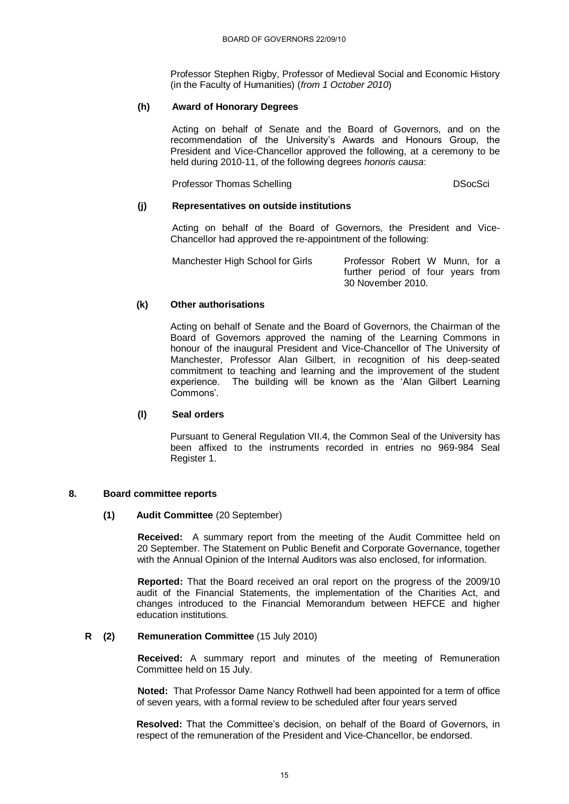Professor Stephen Rigby, Professor of Medieval Social and Economic History (in the Faculty of Humanities) (*from 1 October 2010*)

# **(h) Award of Honorary Degrees**

Acting on behalf of Senate and the Board of Governors, and on the recommendation of the University's Awards and Honours Group, the President and Vice-Chancellor approved the following, at a ceremony to be held during 2010-11, of the following degrees *honoris causa*:

Professor Thomas Schelling DSocSci

# **(j) Representatives on outside institutions**

Acting on behalf of the Board of Governors, the President and Vice-Chancellor had approved the re-appointment of the following:

| Manchester High School for Girls | Professor Robert W Munn, for a    |
|----------------------------------|-----------------------------------|
|                                  | further period of four years from |
|                                  | 30 November 2010.                 |

# **(k) Other authorisations**

Acting on behalf of Senate and the Board of Governors, the Chairman of the Board of Governors approved the naming of the Learning Commons in honour of the inaugural President and Vice-Chancellor of The University of Manchester, Professor Alan Gilbert, in recognition of his deep-seated commitment to teaching and learning and the improvement of the student experience. The building will be known as the "Alan Gilbert Learning Commons".

## **(l) Seal orders**

Pursuant to General Regulation VII.4, the Common Seal of the University has been affixed to the instruments recorded in entries no 969-984 Seal Register 1.

## **8. Board committee reports**

# **(1) Audit Committee** (20 September)

**Received:** A summary report from the meeting of the Audit Committee held on 20 September. The Statement on Public Benefit and Corporate Governance, together with the Annual Opinion of the Internal Auditors was also enclosed, for information.

**Reported:** That the Board received an oral report on the progress of the 2009/10 audit of the Financial Statements, the implementation of the Charities Act, and changes introduced to the Financial Memorandum between HEFCE and higher education institutions.

## **R (2) Remuneration Committee** (15 July 2010)

**Received:** A summary report and minutes of the meeting of Remuneration Committee held on 15 July.

**Noted:** That Professor Dame Nancy Rothwell had been appointed for a term of office of seven years, with a formal review to be scheduled after four years served

**Resolved:** That the Committee's decision, on behalf of the Board of Governors, in respect of the remuneration of the President and Vice-Chancellor, be endorsed.